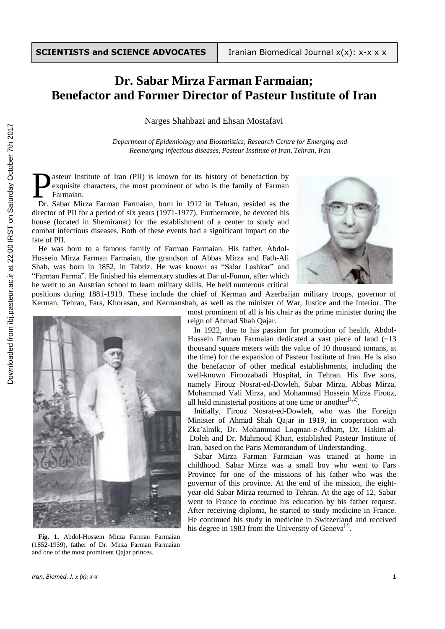## **Dr. Sabar Mirza Farman Farmaian; Benefactor and Former Director of Pasteur Institute of Iran**

Narges Shahbazi and Ehsan Mostafavi

*Department of Epidemiology and Biostatistics, Research Centre for Emerging and Reemerging infectious diseases, Pasteur Institute of Iran, Tehran, Iran*

asteur Institute of Iran (PII) is known for its history of benefaction by exquisite characters, the most prominent of who is the family of Farman Farmaian. **Designalistic School** Exquisite characters, the most prominent of who is the family of Farman Farmaian.<br>
Dr. Sabar Mirza Farman Farmaian, born in 1912 in Tehran, resided as the

director of PII for a period of six years (1971-1977). Furthermore, he devoted his house (located in Shemiranat) for the establishment of a center to study and combat infectious diseases. Both of these events had a significant impact on the fate of PII.

He was born to a famous family of Farman Farmaian. His father, Abdol-Hossein Mirza Farman Farmaian, the grandson of Abbas Mirza and Fath-Ali Shah, was born in 1852, in Tabriz. He was known as "Salar Lashkar" and "Farman Farma". He finished his elementary studies at Dar ul-Funun, after which he went to an Austrian school to learn military skills. He held numerous critical



positions during 1881-1919. These include the chief of Kerman and Azerbaijan military troops, governor of Kerman, Tehran, Fars, Khorasan, and Kermanshah, as well as the minister of War, Justice and the Interior. The



**Fig. 1.** Abdol-Hossein Mirza Farman Farmaian (1852-1939), father of Dr. Mirza Farman Farmaian and one of the most prominent Qajar princes.

most prominent of all is his chair as the prime minister during the reign of Ahmad Shah Qajar.

In 1922, due to his passion for promotion of health, Abdol-Hossein Farman Farmaian dedicated a vast piece of land (~13 thousand square meters with the value of 10 thousand tomans, at the time) for the expansion of Pasteur Institute of Iran. He is also the benefactor of other medical establishments, including the well-known Firoozabadi Hospital, in Tehran. His five sons, namely Firouz Nosrat-ed-Dowleh, Sabar Mirza, Abbas Mirza, Mohammad Vali Mirza, and Mohammad Hossein Mirza Firouz, all held ministerial positions at one time or another $[1,2]$ .

Initially, Firouz Nosrat-ed-Dowleh, who was the Foreign Minister of Ahmad Shah Qajar in 1919, in cooperation with Zka'almlk, Dr. Mohammad Loqman-e-Adham, Dr. Hakim al-Doleh and Dr. Mahmoud Khan, established Pasteur Institute of Iran, based on the Paris Memorandum of Understanding.

Sabar Mirza Farman Farmaian was trained at home in childhood. Sabar Mirza was a small boy who went to Fars Province for one of the missions of his father who was the governor of this province. At the end of the mission, the eightyear-old Sabar Mirza returned to Tehran. At the age of 12, Sabar went to France to continue his education by his father request. After receiving diploma, he started to study medicine in France. He continued his study in medicine in Switzerland and received his degree in 1983 from the University of Geneva<sup>[2]</sup>.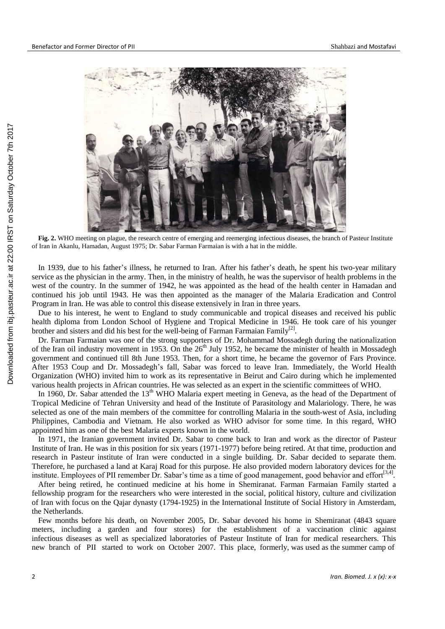

**Fig. 2.** WHO meeting on plague, the research centre of emerging and reemerging infectious diseases, the branch of Pasteur Institute of Iran in Akanlu, Hamadan, August 1975; Dr. Sabar Farman Farmaian is with a hat in the middle.

In 1939, due to his father's illness, he returned to Iran. After his father's death, he spent his two-year military service as the physician in the army. Then, in the ministry of health, he was the supervisor of health problems in the west of the country. In the summer of 1942, he was appointed as the head of the health center in Hamadan and continued his job until 1943. He was then appointed as the manager of the Malaria Eradication and Control Program in Iran. He was able to control this disease extensively in Iran in three years.

Due to his interest, he went to England to study communicable and tropical diseases and received his public health diploma from London School of Hygiene and Tropical Medicine in 1946. He took care of his younger brother and sisters and did his best for the well-being of Farman Farmaian Family<sup>[2]</sup>.

Dr. Farman Farmaian was one of the strong supporters of Dr. Mohammad Mossadegh during the nationalization of the Iran oil industry movement in 1953. On the  $26<sup>th</sup>$  July 1952, he became the minister of health in Mossadegh government and continued till 8th June 1953. Then, for a short time, he became the governor of Fars Province. After 1953 Coup and Dr. Mossadegh's fall, Sabar was forced to leave Iran. Immediately, the World Health Organization (WHO) invited him to work as its representative in Beirut and Cairo during which he implemented various health projects in African countries. He was selected as an expert in the scientific committees of WHO.

In 1960, Dr. Sabar attended the 13<sup>th</sup> WHO Malaria expert meeting in Geneva, as the head of the Department of Tropical Medicine of Tehran University and head of the Institute of Parasitology and Malariology. There, he was selected as one of the main members of the committee for controlling Malaria in the south-west of Asia, including Philippines, Cambodia and Vietnam. He also worked as WHO advisor for some time. In this regard, WHO appointed him as one of the best Malaria experts known in the world.

In 1971, the Iranian government invited Dr. Sabar to come back to Iran and work as the director of Pasteur Institute of Iran. He was in this position for six years (1971-1977) before being retired. At that time, production and research in Pasteur institute of Iran were conducted in a single building. Dr. Sabar decided to separate them. Therefore, he purchased a land at Karaj Road for this purpose. He also provided modern laboratory devices for the institute. Employees of PII remember Dr. Sabar's time as a time of good management, good behavior and effort<sup>[3,4]</sup>.

After being retired, he continued medicine at his home in Shemiranat. Farman Farmaian Family started a fellowship program for the researchers who were interested in the social, political history, culture and civilization of Iran with focus on the Qajar dynasty (1794-1925) in the International Institute of Social History in Amsterdam, the Netherlands.

Few months before his death, on November 2005, Dr. Sabar devoted his home in Shemiranat (4843 square meters, including a garden and four stores) for the establishment of a vaccination clinic against infectious diseases as well as specialized laboratories of Pasteur Institute of Iran for medical researchers. This new branch of PII started to work on October 2007. This place, formerly, was used as the summer camp of